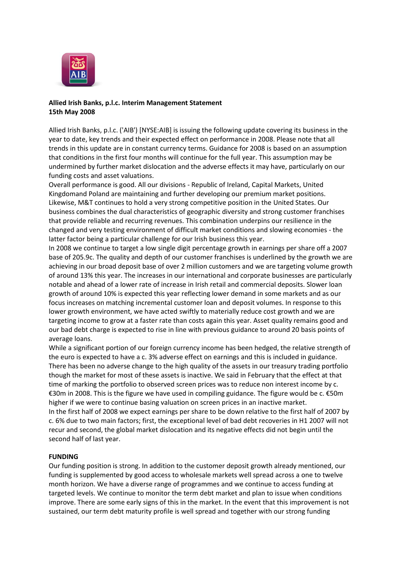

# **Allied Irish Banks, p.l.c. Interim Management Statement 15th May 2008**

Allied Irish Banks, p.l.c. ('AIB') [NYSE:AIB] is issuing the following update covering its business in the year to date, key trends and their expected effect on performance in 2008. Please note that all trends in this update are in constant currency terms. Guidance for 2008 is based on an assumption that conditions in the first four months will continue for the full year. This assumption may be undermined by further market dislocation and the adverse effects it may have, particularly on our funding costs and asset valuations.

Overall performance is good. All our divisions - Republic of Ireland, Capital Markets, United Kingdomand Poland are maintaining and further developing our premium market positions. Likewise, M&T continues to hold a very strong competitive position in the United States. Our business combines the dual characteristics of geographic diversity and strong customer franchises that provide reliable and recurring revenues. This combination underpins our resilience in the changed and very testing environment of difficult market conditions and slowing economies - the latter factor being a particular challenge for our Irish business this year.

In 2008 we continue to target a low single digit percentage growth in earnings per share off a 2007 base of 205.9c. The quality and depth of our customer franchises is underlined by the growth we are achieving in our broad deposit base of over 2 million customers and we are targeting volume growth of around 13% this year. The increases in our international and corporate businesses are particularly notable and ahead of a lower rate of increase in Irish retail and commercial deposits. Slower loan growth of around 10% is expected this year reflecting lower demand in some markets and as our focus increases on matching incremental customer loan and deposit volumes. In response to this lower growth environment, we have acted swiftly to materially reduce cost growth and we are targeting income to grow at a faster rate than costs again this year. Asset quality remains good and our bad debt charge is expected to rise in line with previous guidance to around 20 basis points of average loans.

While a significant portion of our foreign currency income has been hedged, the relative strength of the euro is expected to have a c. 3% adverse effect on earnings and this is included in guidance. There has been no adverse change to the high quality of the assets in our treasury trading portfolio though the market for most of these assets is inactive. We said in February that the effect at that time of marking the portfolio to observed screen prices was to reduce non interest income by c. €30m in 2008. This is the figure we have used in compiling guidance. The figure would be c. €50m higher if we were to continue basing valuation on screen prices in an inactive market. In the first half of 2008 we expect earnings per share to be down relative to the first half of 2007 by c. 6% due to two main factors; first, the exceptional level of bad debt recoveries in H1 2007 will not recur and second, the global market dislocation and its negative effects did not begin until the second half of last year.

# **FUNDING**

Our funding position is strong. In addition to the customer deposit growth already mentioned, our funding is supplemented by good access to wholesale markets well spread across a one to twelve month horizon. We have a diverse range of programmes and we continue to access funding at targeted levels. We continue to monitor the term debt market and plan to issue when conditions improve. There are some early signs of this in the market. In the event that this improvement is not sustained, our term debt maturity profile is well spread and together with our strong funding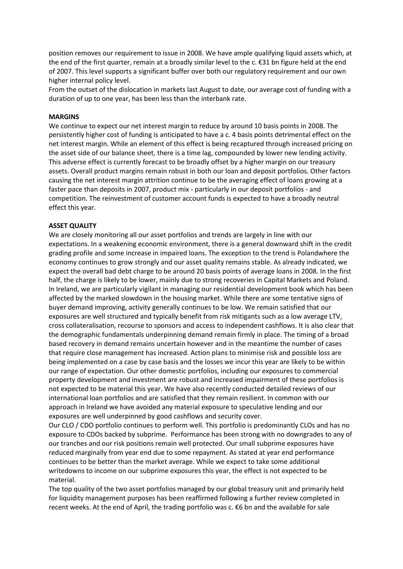position removes our requirement to issue in 2008. We have ample qualifying liquid assets which, at the end of the first quarter, remain at a broadly similar level to the c. €31 bn figure held at the end of 2007. This level supports a significant buffer over both our regulatory requirement and our own higher internal policy level.

From the outset of the dislocation in markets last August to date, our average cost of funding with a duration of up to one year, has been less than the interbank rate.

## **MARGINS**

We continue to expect our net interest margin to reduce by around 10 basis points in 2008. The persistently higher cost of funding is anticipated to have a c. 4 basis points detrimental effect on the net interest margin. While an element of this effect is being recaptured through increased pricing on the asset side of our balance sheet, there is a time lag, compounded by lower new lending activity. This adverse effect is currently forecast to be broadly offset by a higher margin on our treasury assets. Overall product margins remain robust in both our loan and deposit portfolios. Other factors causing the net interest margin attrition continue to be the averaging effect of loans growing at a faster pace than deposits in 2007, product mix - particularly in our deposit portfolios - and competition. The reinvestment of customer account funds is expected to have a broadly neutral effect this year.

#### **ASSET QUALITY**

We are closely monitoring all our asset portfolios and trends are largely in line with our expectations. In a weakening economic environment, there is a general downward shift in the credit grading profile and some increase in impaired loans. The exception to the trend is Polandwhere the economy continues to grow strongly and our asset quality remains stable. As already indicated, we expect the overall bad debt charge to be around 20 basis points of average loans in 2008. In the first half, the charge is likely to be lower, mainly due to strong recoveries in Capital Markets and Poland. In Ireland, we are particularly vigilant in managing our residential development book which has been affected by the marked slowdown in the housing market. While there are some tentative signs of buyer demand improving, activity generally continues to be low. We remain satisfied that our exposures are well structured and typically benefit from risk mitigants such as a low average LTV, cross collateralisation, recourse to sponsors and access to independent cashflows. It is also clear that the demographic fundamentals underpinning demand remain firmly in place. The timing of a broad based recovery in demand remains uncertain however and in the meantime the number of cases that require close management has increased. Action plans to minimise risk and possible loss are being implemented on a case by case basis and the losses we incur this year are likely to be within our range of expectation. Our other domestic portfolios, including our exposures to commercial property development and investment are robust and increased impairment of these portfolios is not expected to be material this year. We have also recently conducted detailed reviews of our international loan portfolios and are satisfied that they remain resilient. In common with our approach in Ireland we have avoided any material exposure to speculative lending and our exposures are well underpinned by good cashflows and security cover.

Our CLO / CDO portfolio continues to perform well. This portfolio is predominantly CLOs and has no exposure to CDOs backed by subprime. Performance has been strong with no downgrades to any of our tranches and our risk positions remain well protected. Our small subprime exposures have reduced marginally from year end due to some repayment. As stated at year end performance continues to be better than the market average. While we expect to take some additional writedowns to income on our subprime exposures this year, the effect is not expected to be material.

The top quality of the two asset portfolios managed by our global treasury unit and primarily held for liquidity management purposes has been reaffirmed following a further review completed in recent weeks. At the end of April, the trading portfolio was c. €6 bn and the available for sale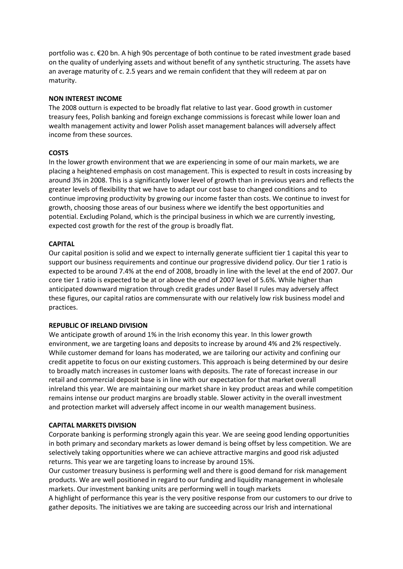portfolio was c. €20 bn. A high 90s percentage of both continue to be rated investment grade based on the quality of underlying assets and without benefit of any synthetic structuring. The assets have an average maturity of c. 2.5 years and we remain confident that they will redeem at par on maturity.

#### **NON INTEREST INCOME**

The 2008 outturn is expected to be broadly flat relative to last year. Good growth in customer treasury fees, Polish banking and foreign exchange commissions is forecast while lower loan and wealth management activity and lower Polish asset management balances will adversely affect income from these sources.

# **COSTS**

In the lower growth environment that we are experiencing in some of our main markets, we are placing a heightened emphasis on cost management. This is expected to result in costs increasing by around 3% in 2008. This is a significantly lower level of growth than in previous years and reflects the greater levels of flexibility that we have to adapt our cost base to changed conditions and to continue improving productivity by growing our income faster than costs. We continue to invest for growth, choosing those areas of our business where we identify the best opportunities and potential. Excluding Poland, which is the principal business in which we are currently investing, expected cost growth for the rest of the group is broadly flat.

# **CAPITAL**

Our capital position is solid and we expect to internally generate sufficient tier 1 capital this year to support our business requirements and continue our progressive dividend policy. Our tier 1 ratio is expected to be around 7.4% at the end of 2008, broadly in line with the level at the end of 2007. Our core tier 1 ratio is expected to be at or above the end of 2007 level of 5.6%. While higher than anticipated downward migration through credit grades under Basel II rules may adversely affect these figures, our capital ratios are commensurate with our relatively low risk business model and practices.

## **REPUBLIC OF IRELAND DIVISION**

We anticipate growth of around 1% in the Irish economy this year. In this lower growth environment, we are targeting loans and deposits to increase by around 4% and 2% respectively. While customer demand for loans has moderated, we are tailoring our activity and confining our credit appetite to focus on our existing customers. This approach is being determined by our desire to broadly match increases in customer loans with deposits. The rate of forecast increase in our retail and commercial deposit base is in line with our expectation for that market overall inIreland this year. We are maintaining our market share in key product areas and while competition remains intense our product margins are broadly stable. Slower activity in the overall investment and protection market will adversely affect income in our wealth management business.

#### **CAPITAL MARKETS DIVISION**

Corporate banking is performing strongly again this year. We are seeing good lending opportunities in both primary and secondary markets as lower demand is being offset by less competition. We are selectively taking opportunities where we can achieve attractive margins and good risk adjusted returns. This year we are targeting loans to increase by around 15%.

Our customer treasury business is performing well and there is good demand for risk management products. We are well positioned in regard to our funding and liquidity management in wholesale markets. Our investment banking units are performing well in tough markets

A highlight of performance this year is the very positive response from our customers to our drive to gather deposits. The initiatives we are taking are succeeding across our Irish and international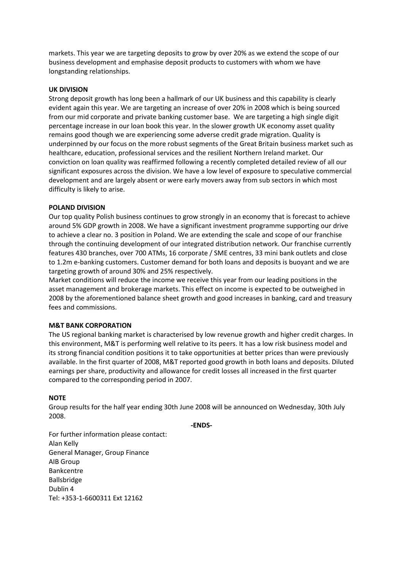markets. This year we are targeting deposits to grow by over 20% as we extend the scope of our business development and emphasise deposit products to customers with whom we have longstanding relationships.

# **UK DIVISION**

Strong deposit growth has long been a hallmark of our UK business and this capability is clearly evident again this year. We are targeting an increase of over 20% in 2008 which is being sourced from our mid corporate and private banking customer base. We are targeting a high single digit percentage increase in our loan book this year. In the slower growth UK economy asset quality remains good though we are experiencing some adverse credit grade migration. Quality is underpinned by our focus on the more robust segments of the Great Britain business market such as healthcare, education, professional services and the resilient Northern Ireland market. Our conviction on loan quality was reaffirmed following a recently completed detailed review of all our significant exposures across the division. We have a low level of exposure to speculative commercial development and are largely absent or were early movers away from sub sectors in which most difficulty is likely to arise.

# **POLAND DIVISION**

Our top quality Polish business continues to grow strongly in an economy that is forecast to achieve around 5% GDP growth in 2008. We have a significant investment programme supporting our drive to achieve a clear no. 3 position in Poland. We are extending the scale and scope of our franchise through the continuing development of our integrated distribution network. Our franchise currently features 430 branches, over 700 ATMs, 16 corporate / SME centres, 33 mini bank outlets and close to 1.2m e-banking customers. Customer demand for both loans and deposits is buoyant and we are targeting growth of around 30% and 25% respectively.

Market conditions will reduce the income we receive this year from our leading positions in the asset management and brokerage markets. This effect on income is expected to be outweighed in 2008 by the aforementioned balance sheet growth and good increases in banking, card and treasury fees and commissions.

#### **M&T BANK CORPORATION**

The US regional banking market is characterised by low revenue growth and higher credit charges. In this environment, M&T is performing well relative to its peers. It has a low risk business model and its strong financial condition positions it to take opportunities at better prices than were previously available. In the first quarter of 2008, M&T reported good growth in both loans and deposits. Diluted earnings per share, productivity and allowance for credit losses all increased in the first quarter compared to the corresponding period in 2007.

#### **NOTE**

Group results for the half year ending 30th June 2008 will be announced on Wednesday, 30th July 2008.

**-ENDS-**

For further information please contact: Alan Kelly General Manager, Group Finance AIB Group Bankcentre Ballsbridge Dublin 4 Tel: +353-1-6600311 Ext 12162